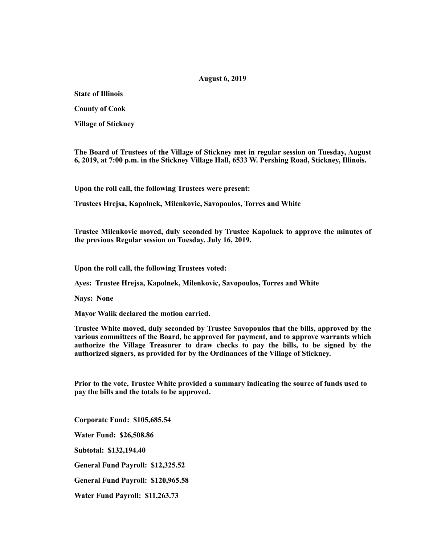## **August 6, 2019**

**State of Illinois** 

**County of Cook** 

**Village of Stickney** 

**The Board of Trustees of the Village of Stickney met in regular session on Tuesday, August 6, 2019, at 7:00 p.m. in the Stickney Village Hall, 6533 W. Pershing Road, Stickney, Illinois.** 

**Upon the roll call, the following Trustees were present:** 

**Trustees Hrejsa, Kapolnek, Milenkovic, Savopoulos, Torres and White** 

**Trustee Milenkovic moved, duly seconded by Trustee Kapolnek to approve the minutes of the previous Regular session on Tuesday, July 16, 2019.** 

**Upon the roll call, the following Trustees voted:** 

**Ayes: Trustee Hrejsa, Kapolnek, Milenkovic, Savopoulos, Torres and White** 

**Nays: None** 

**Mayor Walik declared the motion carried.** 

**Trustee White moved, duly seconded by Trustee Savopoulos that the bills, approved by the various committees of the Board, be approved for payment, and to approve warrants which authorize the Village Treasurer to draw checks to pay the bills, to be signed by the authorized signers, as provided for by the Ordinances of the Village of Stickney.** 

**Prior to the vote, Trustee White provided a summary indicating the source of funds used to pay the bills and the totals to be approved.** 

**Corporate Fund: \$105,685.54 Water Fund: \$26,508.86 Subtotal: \$132,194.40 General Fund Payroll: \$12,325.52 General Fund Payroll: \$120,965.58 Water Fund Payroll: \$11,263.73**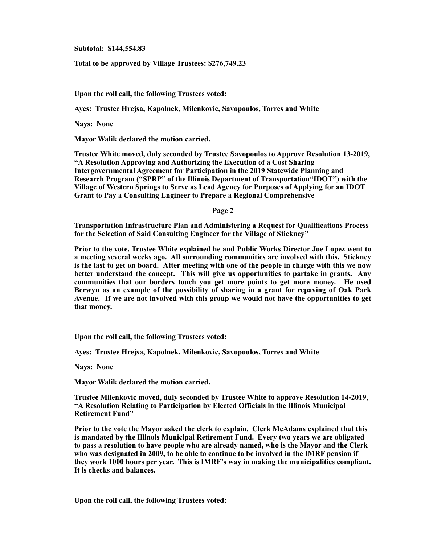**Subtotal: \$144,554.83** 

**Total to be approved by Village Trustees: \$276,749.23** 

**Upon the roll call, the following Trustees voted:** 

**Ayes: Trustee Hrejsa, Kapolnek, Milenkovic, Savopoulos, Torres and White** 

**Nays: None** 

**Mayor Walik declared the motion carried.** 

**Trustee White moved, duly seconded by Trustee Savopoulos to Approve Resolution 13-2019, "A Resolution Approving and Authorizing the Execution of a Cost Sharing Intergovernmental Agreement for Participation in the 2019 Statewide Planning and Research Program ("SPRP" of the Illinois Department of Transportation"IDOT") with the Village of Western Springs to Serve as Lead Agency for Purposes of Applying for an IDOT Grant to Pay a Consulting Engineer to Prepare a Regional Comprehensive** 

**Page 2** 

**Transportation Infrastructure Plan and Administering a Request for Qualifications Process for the Selection of Said Consulting Engineer for the Village of Stickney"** 

**Prior to the vote, Trustee White explained he and Public Works Director Joe Lopez went to a meeting several weeks ago. All surrounding communities are involved with this. Stickney is the last to get on board. After meeting with one of the people in charge with this we now better understand the concept. This will give us opportunities to partake in grants. Any communities that our borders touch you get more points to get more money. He used Berwyn as an example of the possibility of sharing in a grant for repaving of Oak Park Avenue. If we are not involved with this group we would not have the opportunities to get that money.** 

**Upon the roll call, the following Trustees voted:** 

**Ayes: Trustee Hrejsa, Kapolnek, Milenkovic, Savopoulos, Torres and White** 

**Nays: None** 

**Mayor Walik declared the motion carried.** 

**Trustee Milenkovic moved, duly seconded by Trustee White to approve Resolution 14-2019, "A Resolution Relating to Participation by Elected Officials in the Illinois Municipal Retirement Fund"** 

**Prior to the vote the Mayor asked the clerk to explain. Clerk McAdams explained that this is mandated by the Illinois Municipal Retirement Fund. Every two years we are obligated to pass a resolution to have people who are already named, who is the Mayor and the Clerk who was designated in 2009, to be able to continue to be involved in the IMRF pension if they work 1000 hours per year. This is IMRF's way in making the municipalities compliant. It is checks and balances.** 

**Upon the roll call, the following Trustees voted:**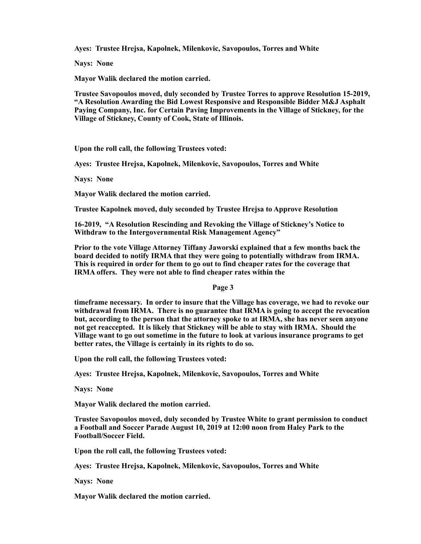**Ayes: Trustee Hrejsa, Kapolnek, Milenkovic, Savopoulos, Torres and White** 

**Nays: None** 

**Mayor Walik declared the motion carried.** 

**Trustee Savopoulos moved, duly seconded by Trustee Torres to approve Resolution 15-2019, "A Resolution Awarding the Bid Lowest Responsive and Responsible Bidder M&J Asphalt Paying Company, Inc. for Certain Paving Improvements in the Village of Stickney, for the Village of Stickney, County of Cook, State of Illinois.** 

**Upon the roll call, the following Trustees voted:** 

**Ayes: Trustee Hrejsa, Kapolnek, Milenkovic, Savopoulos, Torres and White** 

**Nays: None** 

**Mayor Walik declared the motion carried.** 

**Trustee Kapolnek moved, duly seconded by Trustee Hrejsa to Approve Resolution** 

**16-2019, "A Resolution Rescinding and Revoking the Village of Stickney's Notice to Withdraw to the Intergovernmental Risk Management Agency"** 

**Prior to the vote Village Attorney Tiffany Jaworski explained that a few months back the board decided to notify IRMA that they were going to potentially withdraw from IRMA. This is required in order for them to go out to find cheaper rates for the coverage that IRMA offers. They were not able to find cheaper rates within the** 

**Page 3** 

**timeframe necessary. In order to insure that the Village has coverage, we had to revoke our withdrawal from IRMA. There is no guarantee that IRMA is going to accept the revocation but, according to the person that the attorney spoke to at IRMA, she has never seen anyone not get reaccepted. It is likely that Stickney will be able to stay with IRMA. Should the Village want to go out sometime in the future to look at various insurance programs to get better rates, the Village is certainly in its rights to do so.** 

**Upon the roll call, the following Trustees voted:** 

**Ayes: Trustee Hrejsa, Kapolnek, Milenkovic, Savopoulos, Torres and White** 

**Nays: None** 

**Mayor Walik declared the motion carried.** 

**Trustee Savopoulos moved, duly seconded by Trustee White to grant permission to conduct a Football and Soccer Parade August 10, 2019 at 12:00 noon from Haley Park to the Football/Soccer Field.** 

**Upon the roll call, the following Trustees voted:** 

**Ayes: Trustee Hrejsa, Kapolnek, Milenkovic, Savopoulos, Torres and White** 

**Nays: None** 

**Mayor Walik declared the motion carried.**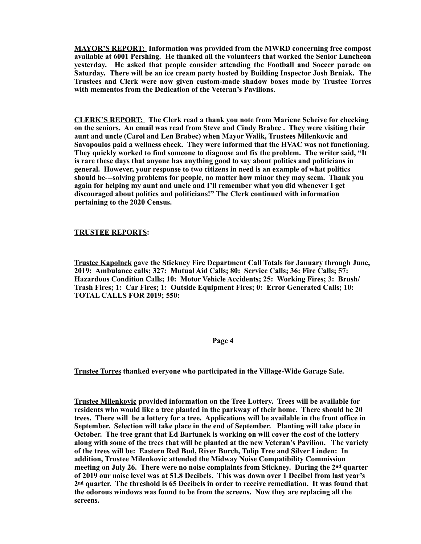**MAYOR'S REPORT: Information was provided from the MWRD concerning free compost available at 6001 Pershing. He thanked all the volunteers that worked the Senior Luncheon yesterday. He asked that people consider attending the Football and Soccer parade on Saturday. There will be an ice cream party hosted by Building Inspector Josh Brniak. The Trustees and Clerk were now given custom-made shadow boxes made by Trustee Torres with mementos from the Dedication of the Veteran's Pavilions.** 

**CLERK'S REPORT: The Clerk read a thank you note from Mariene Scheive for checking on the seniors. An email was read from Steve and Cindy Brabec . They were visiting their aunt and uncle (Carol and Len Brabec) when Mayor Walik, Trustees Milenkovic and Savopoulos paid a wellness check. They were informed that the HVAC was not functioning. They quickly worked to find someone to diagnose and fix the problem. The writer said, "It is rare these days that anyone has anything good to say about politics and politicians in general. However, your response to two citizens in need is an example of what politics should be---solving problems for people, no matter how minor they may seem. Thank you again for helping my aunt and uncle and I'll remember what you did whenever I get discouraged about politics and politicians!" The Clerk continued with information pertaining to the 2020 Census.** 

## **TRUSTEE REPORTS:**

**Trustee Kapolnek gave the Stickney Fire Department Call Totals for January through June, 2019: Ambulance calls; 327: Mutual Aid Calls; 80: Service Calls; 36: Fire Calls; 57: Hazardous Condition Calls; 10: Motor Vehicle Accidents; 25: Working Fires; 3: Brush/ Trash Fires; 1: Car Fires; 1: Outside Equipment Fires; 0: Error Generated Calls; 10: TOTAL CALLS FOR 2019; 550:** 

## **Page 4**

**Trustee Torres thanked everyone who participated in the Village-Wide Garage Sale.** 

**Trustee Milenkovic provided information on the Tree Lottery. Trees will be available for residents who would like a tree planted in the parkway of their home. There should be 20 trees. There will be a lottery for a tree. Applications will be available in the front office in September. Selection will take place in the end of September. Planting will take place in October. The tree grant that Ed Bartunek is working on will cover the cost of the lottery along with some of the trees that will be planted at the new Veteran's Pavilion. The variety of the trees will be: Eastern Red Bud, River Burch, Tulip Tree and Silver Linden: In addition, Trustee Milenkovic attended the Midway Noise Compatibility Commission meeting on July 26. There were no noise complaints from Stickney. During the 2nd quarter of 2019 our noise level was at 51.8 Decibels. This was down over 1 Decibel from last year's 2nd quarter. The threshold is 65 Decibels in order to receive remediation. It was found that the odorous windows was found to be from the screens. Now they are replacing all the screens.**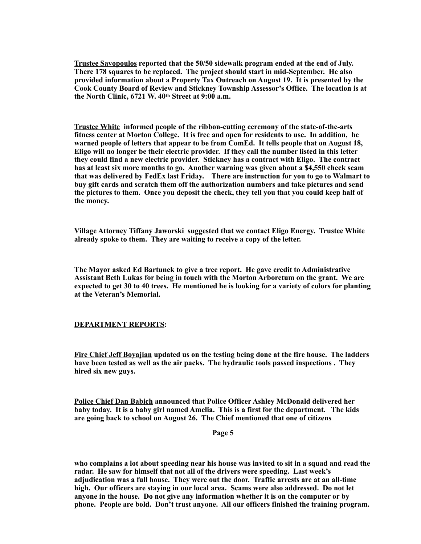**Trustee Savopoulos reported that the 50/50 sidewalk program ended at the end of July. There 178 squares to be replaced. The project should start in mid-September. He also provided information about a Property Tax Outreach on August 19. It is presented by the Cook County Board of Review and Stickney Township Assessor's Office. The location is at the North Clinic, 6721 W. 40th Street at 9:00 a.m.** 

**Trustee White informed people of the ribbon-cutting ceremony of the state-of-the-arts fitness center at Morton College. It is free and open for residents to use. In addition, he warned people of letters that appear to be from ComEd. It tells people that on August 18, Eligo will no longer be their electric provider. If they call the number listed in this letter they could find a new electric provider. Stickney has a contract with Eligo. The contract has at least six more months to go. Another warning was given about a \$4,550 check scam that was delivered by FedEx last Friday. There are instruction for you to go to Walmart to buy gift cards and scratch them off the authorization numbers and take pictures and send the pictures to them. Once you deposit the check, they tell you that you could keep half of the money.** 

**Village Attorney Tiffany Jaworski suggested that we contact Eligo Energy. Trustee White already spoke to them. They are waiting to receive a copy of the letter.** 

**The Mayor asked Ed Bartunek to give a tree report. He gave credit to Administrative Assistant Beth Lukas for being in touch with the Morton Arboretum on the grant. We are expected to get 30 to 40 trees. He mentioned he is looking for a variety of colors for planting at the Veteran's Memorial.** 

## **DEPARTMENT REPORTS:**

**Fire Chief Jeff Boyajian updated us on the testing being done at the fire house. The ladders have been tested as well as the air packs. The hydraulic tools passed inspections . They hired six new guys.** 

**Police Chief Dan Babich announced that Police Officer Ashley McDonald delivered her baby today. It is a baby girl named Amelia. This is a first for the department. The kids are going back to school on August 26. The Chief mentioned that one of citizens** 

**Page 5** 

**who complains a lot about speeding near his house was invited to sit in a squad and read the radar. He saw for himself that not all of the drivers were speeding. Last week's adjudication was a full house. They were out the door. Traffic arrests are at an all-time high. Our officers are staying in our local area. Scams were also addressed. Do not let anyone in the house. Do not give any information whether it is on the computer or by phone. People are bold. Don't trust anyone. All our officers finished the training program.**